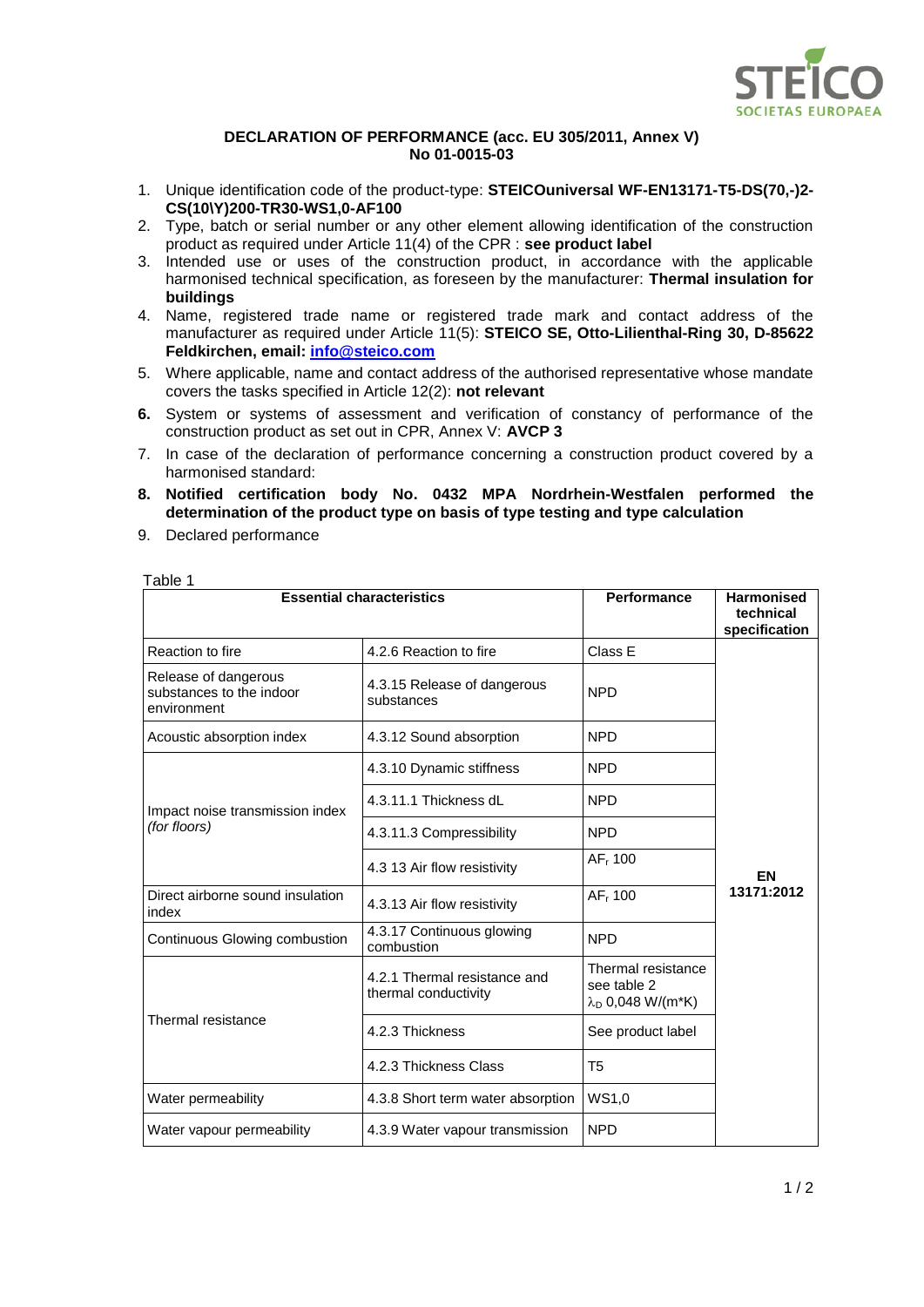

## **DECLARATION OF PERFORMANCE (acc. EU 305/2011, Annex V) No 01-0015-03**

- 1. Unique identification code of the product-type: **STEICOuniversal WF-EN13171-T5-DS(70,-)2- CS(10\Y)200-TR30-WS1,0-AF100**
- 2. Type, batch or serial number or any other element allowing identification of the construction product as required under Article 11(4) of the CPR : **see product label**
- 3. Intended use or uses of the construction product, in accordance with the applicable harmonised technical specification, as foreseen by the manufacturer: **Thermal insulation for buildings**
- 4. Name, registered trade name or registered trade mark and contact address of the manufacturer as required under Article 11(5): **STEICO SE, Otto-Lilienthal-Ring 30, D-85622 Feldkirchen, email: [info@steico.com](mailto:info@steico.com)**
- 5. Where applicable, name and contact address of the authorised representative whose mandate covers the tasks specified in Article 12(2): **not relevant**
- **6.** System or systems of assessment and verification of constancy of performance of the construction product as set out in CPR, Annex V: **AVCP 3**
- 7. In case of the declaration of performance concerning a construction product covered by a harmonised standard:
- **8. Notified certification body No. 0432 MPA Nordrhein-Westfalen performed the determination of the product type on basis of type testing and type calculation**
- 9. Declared performance

Table 1

| <b>Essential characteristics</b>                                |                                                      | <b>Performance</b>                                                   | <b>Harmonised</b><br>technical |
|-----------------------------------------------------------------|------------------------------------------------------|----------------------------------------------------------------------|--------------------------------|
|                                                                 |                                                      |                                                                      | specification                  |
| Reaction to fire                                                | 4.2.6 Reaction to fire                               | Class E                                                              |                                |
| Release of dangerous<br>substances to the indoor<br>environment | 4.3.15 Release of dangerous<br>substances            | <b>NPD</b>                                                           |                                |
| Acoustic absorption index                                       | 4.3.12 Sound absorption                              | <b>NPD</b>                                                           |                                |
| Impact noise transmission index<br>(for floors)                 | 4.3.10 Dynamic stiffness                             | <b>NPD</b>                                                           |                                |
|                                                                 | 4.3.11.1 Thickness dL                                | <b>NPD</b>                                                           |                                |
|                                                                 | 4.3.11.3 Compressibility                             | <b>NPD</b>                                                           |                                |
|                                                                 | 4.3 13 Air flow resistivity                          | AF <sub>r</sub> 100                                                  | EN                             |
| Direct airborne sound insulation<br>index                       | 4.3.13 Air flow resistivity                          | AF <sub>r</sub> 100                                                  | 13171:2012                     |
| Continuous Glowing combustion                                   | 4.3.17 Continuous glowing<br>combustion              | <b>NPD</b>                                                           |                                |
| Thermal resistance                                              | 4.2.1 Thermal resistance and<br>thermal conductivity | Thermal resistance<br>see table 2<br>$\lambda_{\rm D}$ 0,048 W/(m*K) |                                |
|                                                                 | 4.2.3 Thickness                                      | See product label                                                    |                                |
|                                                                 | 4.2.3 Thickness Class                                | T <sub>5</sub>                                                       |                                |
| Water permeability                                              | 4.3.8 Short term water absorption                    | WS1,0                                                                |                                |
| Water vapour permeability                                       | 4.3.9 Water vapour transmission                      | <b>NPD</b>                                                           |                                |